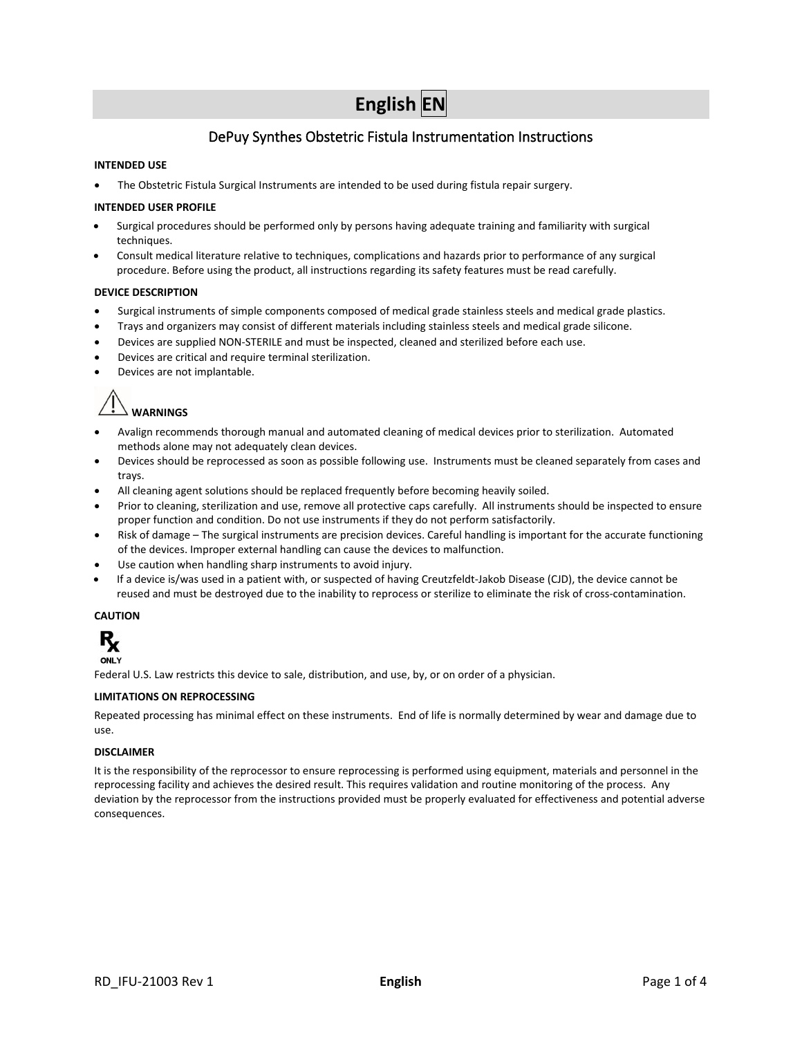# **English EN**

# DePuy Synthes Obstetric Fistula Instrumentation Instructions

# **INTENDED USE**

• The Obstetric Fistula Surgical Instruments are intended to be used during fistula repair surgery.

## **INTENDED USER PROFILE**

- Surgical procedures should be performed only by persons having adequate training and familiarity with surgical techniques.
- Consult medical literature relative to techniques, complications and hazards prior to performance of any surgical procedure. Before using the product, all instructions regarding its safety features must be read carefully.

## **DEVICE DESCRIPTION**

- Surgical instruments of simple components composed of medical grade stainless steels and medical grade plastics.
- Trays and organizers may consist of different materials including stainless steels and medical grade silicone.
- Devices are supplied NON-STERILE and must be inspected, cleaned and sterilized before each use.
- Devices are critical and require terminal sterilization.
- Devices are not implantable.

 $\perp$  WARNINGS

- Avalign recommends thorough manual and automated cleaning of medical devices prior to sterilization. Automated methods alone may not adequately clean devices.
- Devices should be reprocessed as soon as possible following use. Instruments must be cleaned separately from cases and trays.
- All cleaning agent solutions should be replaced frequently before becoming heavily soiled.
- Prior to cleaning, sterilization and use, remove all protective caps carefully. All instruments should be inspected to ensure proper function and condition. Do not use instruments if they do not perform satisfactorily.
- Risk of damage The surgical instruments are precision devices. Careful handling is important for the accurate functioning of the devices. Improper external handling can cause the devices to malfunction.
- Use caution when handling sharp instruments to avoid injury.
- If a device is/was used in a patient with, or suspected of having Creutzfeldt-Jakob Disease (CJD), the device cannot be reused and must be destroyed due to the inability to reprocess or sterilize to eliminate the risk of cross-contamination.

# **CAUTION**



Federal U.S. Law restricts this device to sale, distribution, and use, by, or on order of a physician.

#### **LIMITATIONS ON REPROCESSING**

Repeated processing has minimal effect on these instruments. End of life is normally determined by wear and damage due to use.

#### **DISCLAIMER**

It is the responsibility of the reprocessor to ensure reprocessing is performed using equipment, materials and personnel in the reprocessing facility and achieves the desired result. This requires validation and routine monitoring of the process. Any deviation by the reprocessor from the instructions provided must be properly evaluated for effectiveness and potential adverse consequences.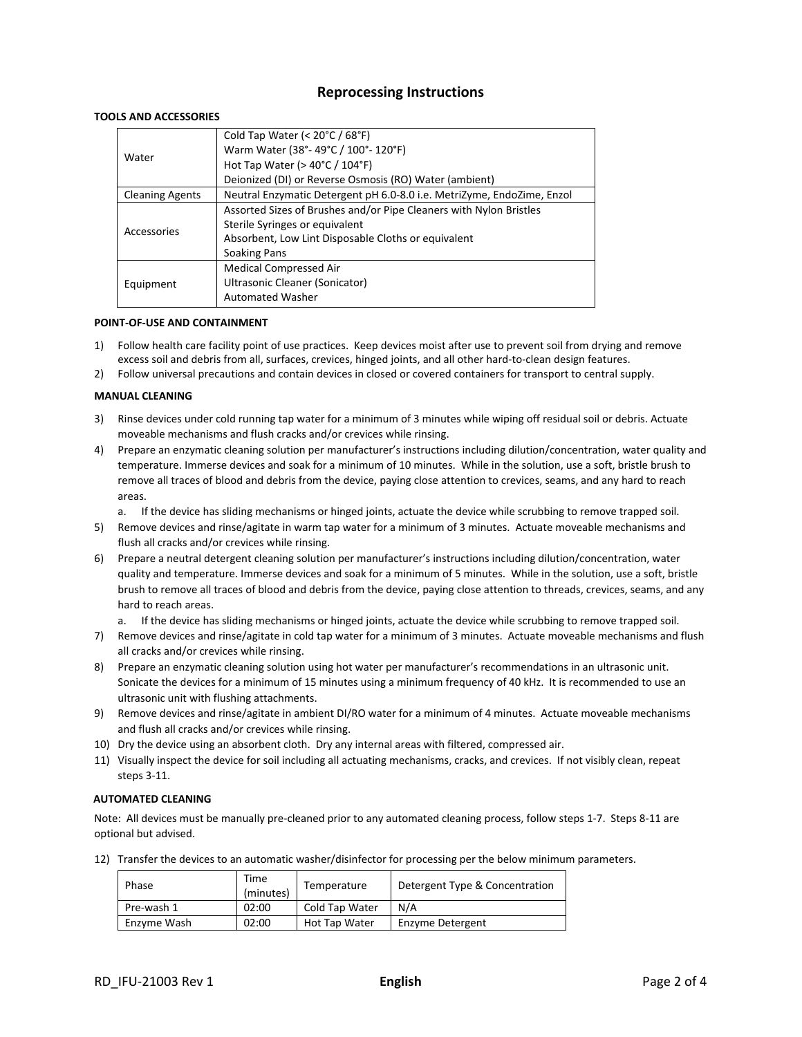# **Reprocessing Instructions**

# **TOOLS AND ACCESSORIES**

|                                                                                                  | Cold Tap Water (< $20^{\circ}$ C / 68 $^{\circ}$ F)                |  |
|--------------------------------------------------------------------------------------------------|--------------------------------------------------------------------|--|
| Water                                                                                            | Warm Water (38°-49°C / 100°-120°F)                                 |  |
|                                                                                                  | Hot Tap Water ( $>$ 40 $^{\circ}$ C / 104 $^{\circ}$ F)            |  |
|                                                                                                  | Deionized (DI) or Reverse Osmosis (RO) Water (ambient)             |  |
| Neutral Enzymatic Detergent pH 6.0-8.0 i.e. MetriZyme, EndoZime, Enzol<br><b>Cleaning Agents</b> |                                                                    |  |
|                                                                                                  | Assorted Sizes of Brushes and/or Pipe Cleaners with Nylon Bristles |  |
| Accessories                                                                                      | Sterile Syringes or equivalent                                     |  |
|                                                                                                  | Absorbent, Low Lint Disposable Cloths or equivalent                |  |
|                                                                                                  | Soaking Pans                                                       |  |
|                                                                                                  | <b>Medical Compressed Air</b>                                      |  |
| Equipment                                                                                        | Ultrasonic Cleaner (Sonicator)                                     |  |
|                                                                                                  | <b>Automated Washer</b>                                            |  |

#### **POINT-OF-USE AND CONTAINMENT**

- 1) Follow health care facility point of use practices. Keep devices moist after use to prevent soil from drying and remove excess soil and debris from all, surfaces, crevices, hinged joints, and all other hard-to-clean design features.
- 2) Follow universal precautions and contain devices in closed or covered containers for transport to central supply.

# **MANUAL CLEANING**

- 3) Rinse devices under cold running tap water for a minimum of 3 minutes while wiping off residual soil or debris. Actuate moveable mechanisms and flush cracks and/or crevices while rinsing.
- 4) Prepare an enzymatic cleaning solution per manufacturer's instructions including dilution/concentration, water quality and temperature. Immerse devices and soak for a minimum of 10 minutes. While in the solution, use a soft, bristle brush to remove all traces of blood and debris from the device, paying close attention to crevices, seams, and any hard to reach areas.
	- a. If the device has sliding mechanisms or hinged joints, actuate the device while scrubbing to remove trapped soil.
- 5) Remove devices and rinse/agitate in warm tap water for a minimum of 3 minutes. Actuate moveable mechanisms and flush all cracks and/or crevices while rinsing.
- 6) Prepare a neutral detergent cleaning solution per manufacturer's instructions including dilution/concentration, water quality and temperature. Immerse devices and soak for a minimum of 5 minutes. While in the solution, use a soft, bristle brush to remove all traces of blood and debris from the device, paying close attention to threads, crevices, seams, and any hard to reach areas.
	- a. If the device has sliding mechanisms or hinged joints, actuate the device while scrubbing to remove trapped soil.
- 7) Remove devices and rinse/agitate in cold tap water for a minimum of 3 minutes. Actuate moveable mechanisms and flush all cracks and/or crevices while rinsing.
- 8) Prepare an enzymatic cleaning solution using hot water per manufacturer's recommendations in an ultrasonic unit. Sonicate the devices for a minimum of 15 minutes using a minimum frequency of 40 kHz. It is recommended to use an ultrasonic unit with flushing attachments.
- 9) Remove devices and rinse/agitate in ambient DI/RO water for a minimum of 4 minutes. Actuate moveable mechanisms and flush all cracks and/or crevices while rinsing.
- 10) Dry the device using an absorbent cloth. Dry any internal areas with filtered, compressed air.
- 11) Visually inspect the device for soil including all actuating mechanisms, cracks, and crevices. If not visibly clean, repeat steps 3-11.

# **AUTOMATED CLEANING**

Note: All devices must be manually pre-cleaned prior to any automated cleaning process, follow steps 1-7. Steps 8-11 are optional but advised.

12) Transfer the devices to an automatic washer/disinfector for processing per the below minimum parameters.

| Phase       | Time<br>(minutes) | Temperature    | Detergent Type & Concentration |
|-------------|-------------------|----------------|--------------------------------|
| Pre-wash 1  | 02:00             | Cold Tap Water | N/A                            |
| Enzvme Wash | 02:00             | Hot Tap Water  | Enzyme Detergent               |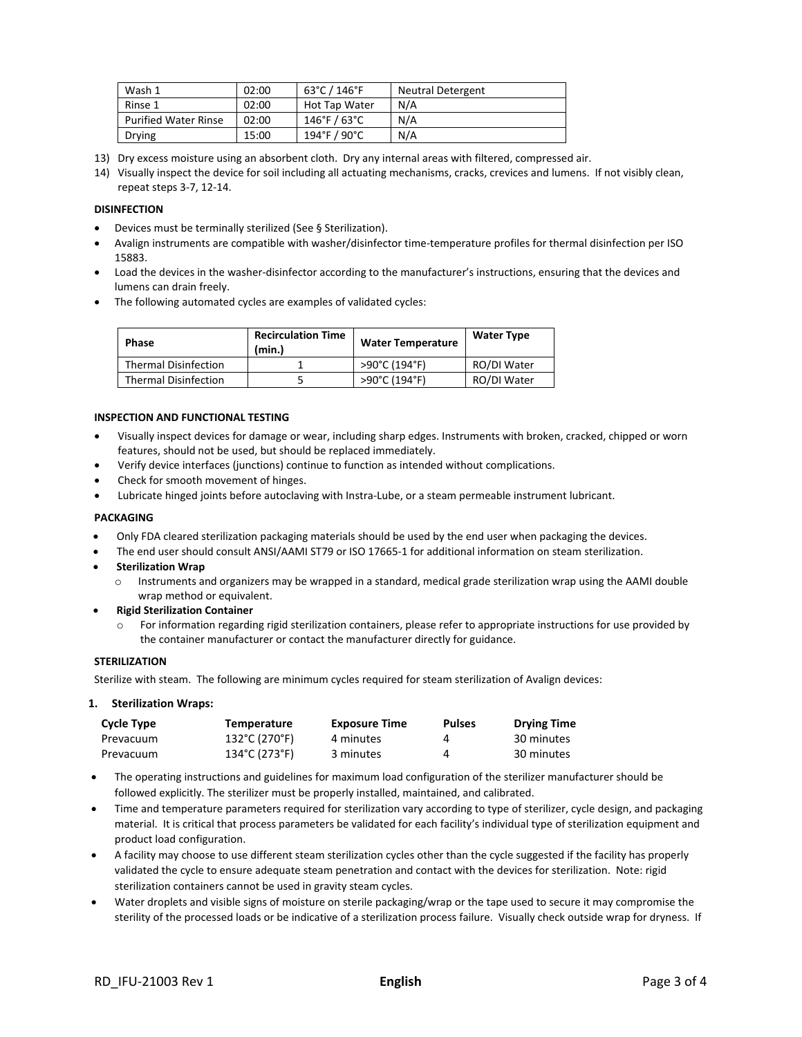| Wash 1                      | 02:00 | 63°C / 146°F    | <b>Neutral Detergent</b> |
|-----------------------------|-------|-----------------|--------------------------|
| Rinse 1                     | 02:00 | Hot Tap Water   | N/A                      |
| <b>Purified Water Rinse</b> | 02:00 | $146°$ F / 63°C | N/A                      |
| <b>Drying</b>               | 15:00 | 194°F / 90°C    | N/A                      |

- 13) Dry excess moisture using an absorbent cloth. Dry any internal areas with filtered, compressed air.
- 14) Visually inspect the device for soil including all actuating mechanisms, cracks, crevices and lumens. If not visibly clean, repeat steps 3-7, 12-14.

# **DISINFECTION**

- Devices must be terminally sterilized (See § Sterilization).
- Avalign instruments are compatible with washer/disinfector time-temperature profiles for thermal disinfection per ISO 15883.
- Load the devices in the washer-disinfector according to the manufacturer's instructions, ensuring that the devices and lumens can drain freely.
- The following automated cycles are examples of validated cycles:

| <b>Phase</b>                | <b>Recirculation Time</b><br>(min.) | <b>Water Temperature</b> | <b>Water Type</b> |
|-----------------------------|-------------------------------------|--------------------------|-------------------|
| <b>Thermal Disinfection</b> |                                     | >90°C (194°F)            | RO/DI Water       |
| <b>Thermal Disinfection</b> |                                     | >90°C (194°F)            | RO/DI Water       |

# **INSPECTION AND FUNCTIONAL TESTING**

- Visually inspect devices for damage or wear, including sharp edges. Instruments with broken, cracked, chipped or worn features, should not be used, but should be replaced immediately.
- Verify device interfaces (junctions) continue to function as intended without complications.
- Check for smooth movement of hinges.
- Lubricate hinged joints before autoclaving with Instra-Lube, or a steam permeable instrument lubricant.

# **PACKAGING**

- Only FDA cleared sterilization packaging materials should be used by the end user when packaging the devices.
- The end user should consult ANSI/AAMI ST79 or ISO 17665-1 for additional information on steam sterilization.
- **Sterilization Wrap**
	- o Instruments and organizers may be wrapped in a standard, medical grade sterilization wrap using the AAMI double wrap method or equivalent.
- **Rigid Sterilization Container**
	- For information regarding rigid sterilization containers, please refer to appropriate instructions for use provided by the container manufacturer or contact the manufacturer directly for guidance.

#### **STERILIZATION**

Sterilize with steam. The following are minimum cycles required for steam sterilization of Avalign devices:

#### **1. Sterilization Wraps:**

| Cycle Type | <b>Temperature</b> | <b>Exposure Time</b> | <b>Pulses</b> | <b>Drying Time</b> |
|------------|--------------------|----------------------|---------------|--------------------|
| Prevacuum  | 132°C (270°F)      | 4 minutes            | 4             | 30 minutes         |
| Prevacuum  | 134°C (273°F)      | 3 minutes            |               | 30 minutes         |

- The operating instructions and guidelines for maximum load configuration of the sterilizer manufacturer should be followed explicitly. The sterilizer must be properly installed, maintained, and calibrated.
- Time and temperature parameters required for sterilization vary according to type of sterilizer, cycle design, and packaging material. It is critical that process parameters be validated for each facility's individual type of sterilization equipment and product load configuration.
- A facility may choose to use different steam sterilization cycles other than the cycle suggested if the facility has properly validated the cycle to ensure adequate steam penetration and contact with the devices for sterilization. Note: rigid sterilization containers cannot be used in gravity steam cycles.
- Water droplets and visible signs of moisture on sterile packaging/wrap or the tape used to secure it may compromise the sterility of the processed loads or be indicative of a sterilization process failure. Visually check outside wrap for dryness. If